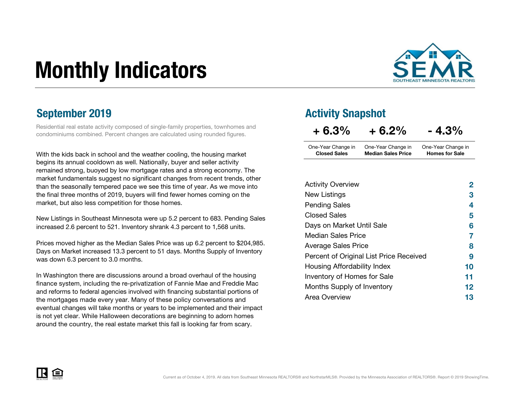# Monthly Indicators



### September 2019

Residential real estate activity composed of single-family properties, townhomes and condominiums combined. Percent changes are calculated using rounded figures.

With the kids back in school and the weather cooling, the housing marketbegins its annual cooldown as well. Nationally, buyer and seller activity remained strong, buoyed by low mortgage rates and a strong economy. The market fundamentals suggest no significant changes from recent trends, other than the seasonally tempered pace we see this time of year. As we move into the final three months of 2019, buyers will find fewer homes coming on themarket, but also less competition for those homes.

New Listings in Southeast Minnesota were up 5.2 percent to 683. Pending Sales increased 2.6 percent to 521. Inventory shrank 4.3 percent to 1,568 units.

Prices moved higher as the Median Sales Price was up 6.2 percent to \$204,985. Days on Market increased 13.3 percent to 51 days. Months Supply of Inventory was down 6.3 percent to 3.0 months.

In Washington there are discussions around a broad overhaul of the housing finance system, including the re-privatization of Fannie Mae and Freddie Mac and reforms to federal agencies involved with financing substantial portions of the mortgages made every year. Many of these policy conversations and eventual changes will take months or years to be implemented and their impact is not yet clear. While Halloween decorations are beginning to adorn homes around the country, the real estate market this fall is looking far from scary.

### Activity Snapshot

| $+6.3%$             | $+6.2%$                   | $-4.3%$               |
|---------------------|---------------------------|-----------------------|
| One-Year Change in  | One-Year Change in        | One-Year Change in    |
| <b>Closed Sales</b> | <b>Median Sales Price</b> | <b>Homes for Sale</b> |

| <b>Activity Overview</b>                | 2  |
|-----------------------------------------|----|
| New Listings                            | З  |
| <b>Pending Sales</b>                    | 4  |
| <b>Closed Sales</b>                     | 5  |
| Days on Market Until Sale               | 6  |
| <b>Median Sales Price</b>               | 7  |
| <b>Average Sales Price</b>              | 8  |
| Percent of Original List Price Received | 9  |
| Housing Affordability Index             | 10 |
| Inventory of Homes for Sale             | 11 |
| Months Supply of Inventory              | 12 |
| Area Overview                           | 13 |

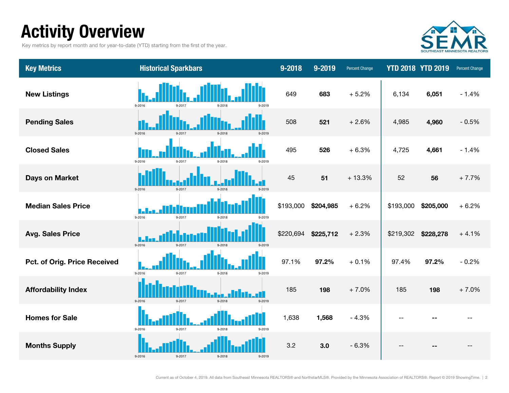# Activity Overview

Key metrics by report month and for year-to-date (YTD) starting from the first of the year.



| <b>Key Metrics</b>           | <b>Historical Sparkbars</b>              | 9-2018    | 9-2019    | <b>Percent Change</b> |           | <b>YTD 2018 YTD 2019</b> | Percent Change |
|------------------------------|------------------------------------------|-----------|-----------|-----------------------|-----------|--------------------------|----------------|
| <b>New Listings</b>          | 9-2016<br>9-2017<br>9-2018<br>9-2019     | 649       | 683       | $+5.2%$               | 6,134     | 6,051                    | $-1.4%$        |
| <b>Pending Sales</b>         | 9-2016<br>9-2017<br>9-2018<br>9-2019     | 508       | 521       | $+2.6%$               | 4,985     | 4,960                    | $-0.5%$        |
| <b>Closed Sales</b>          | 9-2016<br>9-2017<br>$9 - 2018$<br>9-2019 | 495       | 526       | $+6.3%$               | 4,725     | 4,661                    | $-1.4%$        |
| <b>Days on Market</b>        | 9-2016<br>9-2017<br>$9 - 2018$<br>9-2019 | 45        | 51        | $+13.3%$              | 52        | 56                       | $+7.7%$        |
| <b>Median Sales Price</b>    | 9-2016<br>9-2017<br>9-2018<br>9-2019     | \$193,000 | \$204,985 | $+6.2%$               | \$193,000 | \$205,000                | $+6.2%$        |
| <b>Avg. Sales Price</b>      | 9-2016<br>9-2017<br>9-2018<br>9-2019     | \$220,694 | \$225,712 | $+2.3%$               | \$219,302 | \$228,278                | $+4.1%$        |
| Pct. of Orig. Price Received | 9-2016<br>9-2017<br>9-2018<br>9-2019     | 97.1%     | 97.2%     | $+0.1%$               | 97.4%     | 97.2%                    | $-0.2%$        |
| <b>Affordability Index</b>   | $9 - 2016$<br>9-2017<br>9-2018<br>9-2019 | 185       | 198       | $+7.0%$               | 185       | 198                      | $+7.0%$        |
| <b>Homes for Sale</b>        | 9-2016<br>9-2017<br>9-2018<br>9-2019     | 1,638     | 1,568     | $-4.3%$               |           |                          |                |
| <b>Months Supply</b>         | 9-2016<br>9-2017<br>9-2018<br>9-2019     | 3.2       | 3.0       | $-6.3%$               |           |                          |                |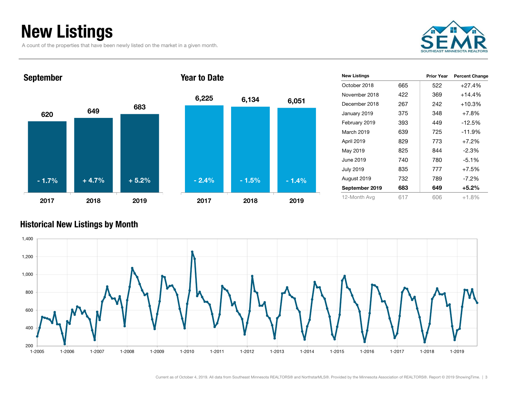# New Listings

A count of the properties that have been newly listed on the market in a given month.





| <b>New Listings</b> |     | <b>Prior Year</b> | <b>Percent Change</b> |
|---------------------|-----|-------------------|-----------------------|
| October 2018        | 665 | 522               | $+27.4%$              |
| November 2018       | 422 | 369               | $+14.4%$              |
| December 2018       | 267 | 242               | $+10.3%$              |
| January 2019        | 375 | 348               | $+7.8%$               |
| February 2019       | 393 | 449               | $-12.5%$              |
| March 2019          | 639 | 725               | $-11.9%$              |
| April 2019          | 829 | 773               | $+7.2%$               |
| May 2019            | 825 | 844               | $-2.3\%$              |
| June 2019           | 740 | 780               | $-5.1\%$              |
| <b>July 2019</b>    | 835 | 777               | $+7.5%$               |
| August 2019         | 732 | 789               | $-7.2\%$              |
| September 2019      | 683 | 649               | $+5.2\%$              |
| 12-Month Avg        | 617 | 606               | $+1.8%$               |

### Historical New Listings by Month

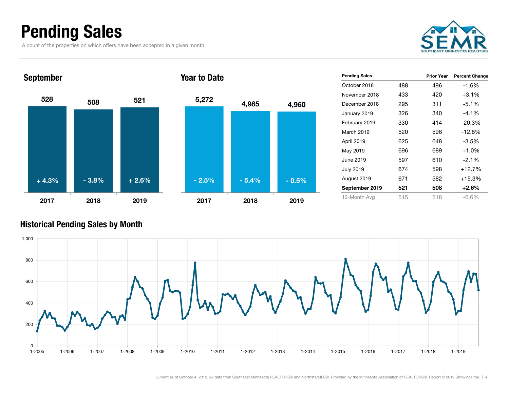# Pending Sales

A count of the properties on which offers have been accepted in a given month.





| <b>Pending Sales</b> |     | <b>Prior Year</b> | <b>Percent Change</b> |
|----------------------|-----|-------------------|-----------------------|
| October 2018         | 488 | 496               | $-1.6%$               |
| November 2018        | 433 | 420               | $+3.1%$               |
| December 2018        | 295 | 311               | $-5.1%$               |
| January 2019         | 326 | 340               | $-4.1%$               |
| February 2019        | 330 | 414               | $-20.3%$              |
| March 2019           | 520 | 596               | $-12.8%$              |
| April 2019           | 625 | 648               | $-3.5%$               |
| May 2019             | 696 | 689               | $+1.0%$               |
| June 2019            | 597 | 610               | $-2.1%$               |
| <b>July 2019</b>     | 674 | 598               | $+12.7%$              |
| August 2019          | 671 | 582               | $+15.3%$              |
| September 2019       | 521 | 508               | $+2.6%$               |
| 12-Month Avg         | 515 | 518               | $-0.6\%$              |
|                      |     |                   |                       |

### Historical Pending Sales by Month

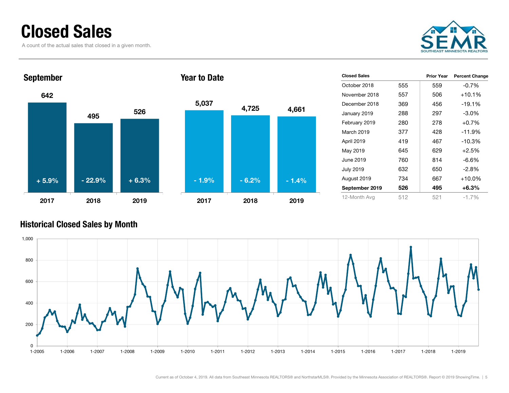### Closed Sales

A count of the actual sales that closed in a given month.





| <b>Closed Sales</b> |     | <b>Prior Year</b> | <b>Percent Change</b> |
|---------------------|-----|-------------------|-----------------------|
| October 2018        | 555 | 559               | $-0.7%$               |
| November 2018       | 557 | 506               | $+10.1%$              |
| December 2018       | 369 | 456               | $-19.1%$              |
| January 2019        | 288 | 297               | $-3.0\%$              |
| February 2019       | 280 | 278               | $+0.7%$               |
| March 2019          | 377 | 428               | $-11.9%$              |
| April 2019          | 419 | 467               | $-10.3%$              |
| May 2019            | 645 | 629               | $+2.5%$               |
| June 2019           | 760 | 814               | $-6.6\%$              |
| <b>July 2019</b>    | 632 | 650               | $-2.8\%$              |
| August 2019         | 734 | 667               | $+10.0\%$             |
| September 2019      | 526 | 495               | $+6.3\%$              |
| 12-Month Avg        | 512 | 521               | $-1.7\%$              |
|                     |     |                   |                       |

### Historical Closed Sales by Month

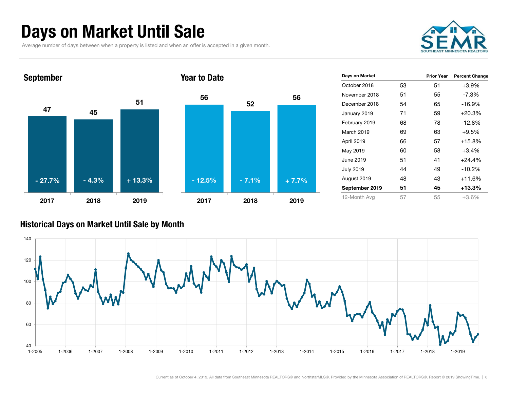# Days on Market Until Sale

Average number of days between when a property is listed and when an offer is accepted in a given month.





| Days on Market   |    | <b>Prior Year</b> | <b>Percent Change</b> |
|------------------|----|-------------------|-----------------------|
| October 2018     | 53 | 51                | $+3.9%$               |
| November 2018    | 51 | 55                | $-7.3\%$              |
| December 2018    | 54 | 65                | $-16.9%$              |
| January 2019     | 71 | 59                | $+20.3%$              |
| February 2019    | 68 | 78                | $-12.8%$              |
| March 2019       | 69 | 63                | +9.5%                 |
| April 2019       | 66 | 57                | $+15.8%$              |
| May 2019         | 60 | 58                | $+3.4%$               |
| June 2019        | 51 | 41                | $+24.4%$              |
| <b>July 2019</b> | 44 | 49                | $-10.2%$              |
| August 2019      | 48 | 43                | $+11.6%$              |
| September 2019   | 51 | 45                | +13.3%                |
| 12-Month Avg     | 57 | 55                | $+3.6%$               |

### Historical Days on Market Until Sale by Month

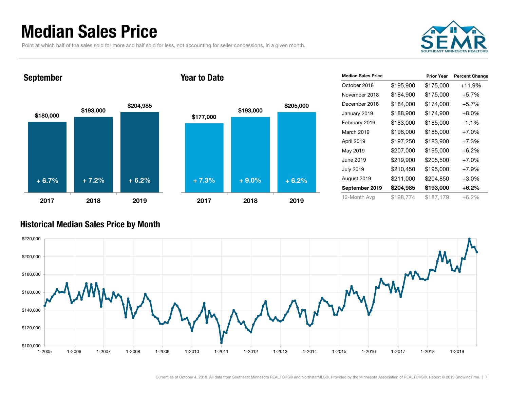### Median Sales Price

Point at which half of the sales sold for more and half sold for less, not accounting for seller concessions, in a given month.



### September





| <b>Median Sales Price</b> |           | <b>Prior Year</b> | <b>Percent Change</b> |
|---------------------------|-----------|-------------------|-----------------------|
| October 2018              | \$195,900 | \$175,000         | $+11.9%$              |
| November 2018             | \$184,900 | \$175,000         | $+5.7%$               |
| December 2018             | \$184,000 | \$174,000         | $+5.7%$               |
| January 2019              | \$188,900 | \$174,900         | $+8.0%$               |
| February 2019             | \$183,000 | \$185,000         | $-1.1\%$              |
| March 2019                | \$198,000 | \$185,000         | $+7.0%$               |
| April 2019                | \$197,250 | \$183,900         | $+7.3%$               |
| May 2019                  | \$207,000 | \$195,000         | $+6.2%$               |
| June 2019                 | \$219,900 | \$205,500         | $+7.0\%$              |
| <b>July 2019</b>          | \$210,450 | \$195,000         | $+7.9%$               |
| August 2019               | \$211,000 | \$204,850         | $+3.0%$               |
| September 2019            | \$204,985 | \$193,000         | $+6.2\%$              |
| 12-Month Avg              | \$198.774 | \$187.179         | $+6.2%$               |

### Historical Median Sales Price by Month

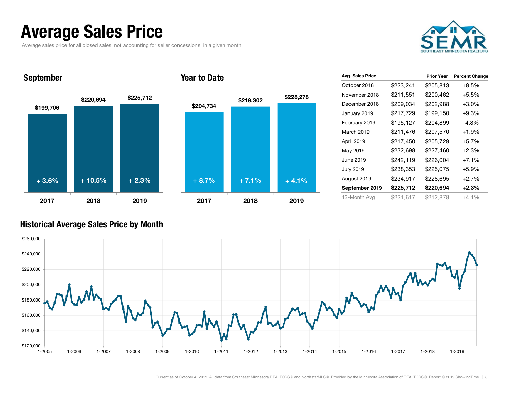### Average Sales Price

Average sales price for all closed sales, not accounting for seller concessions, in a given month.



### September



#### Year to Date



| Avg. Sales Price |           | <b>Prior Year</b> | <b>Percent Change</b> |
|------------------|-----------|-------------------|-----------------------|
| October 2018     | \$223,241 | \$205,813         | $+8.5%$               |
| November 2018    | \$211,551 | \$200,462         | $+5.5%$               |
| December 2018    | \$209,034 | \$202,988         | $+3.0%$               |
| January 2019     | \$217,729 | \$199,150         | $+9.3%$               |
| February 2019    | \$195,127 | \$204,899         | -4.8%                 |
| March 2019       | \$211,476 | \$207,570         | $+1.9%$               |
| April 2019       | \$217,450 | \$205,729         | $+5.7%$               |
| May 2019         | \$232,698 | \$227,460         | $+2.3%$               |
| June 2019        | \$242,119 | \$226,004         | $+7.1%$               |
| <b>July 2019</b> | \$238,353 | \$225,075         | $+5.9%$               |
| August 2019      | \$234,917 | \$228,695         | $+2.7%$               |
| September 2019   | \$225,712 | \$220,694         | $+2.3%$               |
| 12-Month Avg     | \$221,617 | \$212,878         | $+4.1\%$              |

#### Historical Average Sales Price by Month

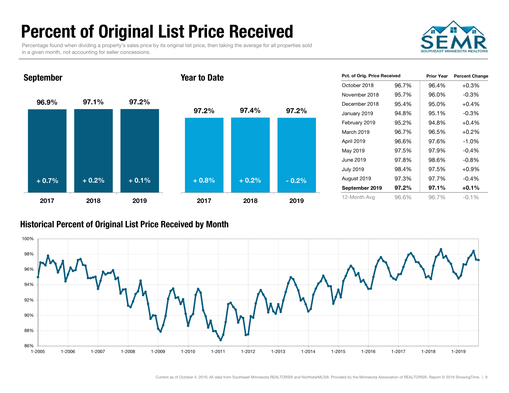# Percent of Original List Price Received

Percentage found when dividing a property's sales price by its original list price, then taking the average for all properties sold in a given month, not accounting for seller concessions.



96.9% 97.1% 97.2% 2017 2018 2019September 97.2% 97.4% 97.2% 2017 2018 2019Year to Date+ 0.7% $\%$  + 0.2% + 0.1% + 0.8% + 0.2% - 0.2%

| Pct. of Orig. Price Received |       | <b>Prior Year</b> | <b>Percent Change</b> |
|------------------------------|-------|-------------------|-----------------------|
| October 2018                 | 96.7% | 96.4%             | $+0.3%$               |
| November 2018                | 95.7% | 96.0%             | $-0.3\%$              |
| December 2018                | 95.4% | 95.0%             | $+0.4%$               |
| January 2019                 | 94.8% | 95.1%             | $-0.3%$               |
| February 2019                | 95.2% | 94.8%             | $+0.4%$               |
| March 2019                   | 96.7% | 96.5%             | $+0.2%$               |
| April 2019                   | 96.6% | 97.6%             | $-1.0%$               |
| May 2019                     | 97.5% | 97.9%             | $-0.4%$               |
| June 2019                    | 97.8% | 98.6%             | $-0.8%$               |
| <b>July 2019</b>             | 98.4% | 97.5%             | $+0.9%$               |
| August 2019                  | 97.3% | 97.7%             | $-0.4%$               |
| September 2019               | 97.2% | 97.1%             | $+0.1%$               |
| 12-Month Avg                 | 96.6% | 96.7%             | $-0.1\%$              |

#### Historical Percent of Original List Price Received by Month

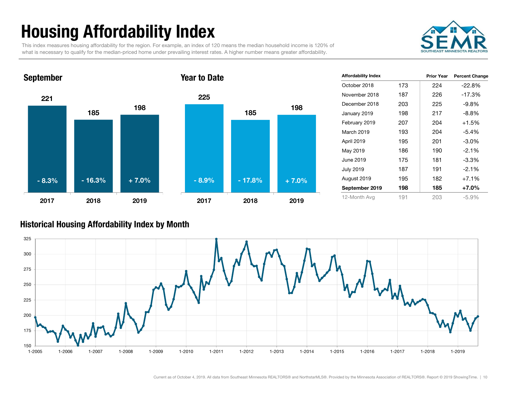# Housing Affordability Index

This index measures housing affordability for the region. For example, an index of 120 means the median household income is 120% of what is necessary to qualify for the median-priced home under prevailing interest rates. A higher number means greater affordability.





| <b>Affordability Index</b> |     | <b>Prior Year</b> | <b>Percent Change</b> |
|----------------------------|-----|-------------------|-----------------------|
| October 2018               | 173 | 224               | $-22.8%$              |
| November 2018              | 187 | 226               | $-17.3%$              |
| December 2018              | 203 | 225               | $-9.8\%$              |
| January 2019               | 198 | 217               | $-8.8\%$              |
| February 2019              | 207 | 204               | $+1.5%$               |
| March 2019                 | 193 | 204               | $-5.4%$               |
| April 2019                 | 195 | 201               | $-3.0\%$              |
| May 2019                   | 186 | 190               | $-2.1%$               |
| June 2019                  | 175 | 181               | $-3.3%$               |
| <b>July 2019</b>           | 187 | 191               | $-2.1%$               |
| August 2019                | 195 | 182               | $+7.1%$               |
| September 2019             | 198 | 185               | +7.0%                 |
| 12-Month Avg               | 191 | 203               | -5.9%                 |

#### Historical Housing Affordability Index by Mont h

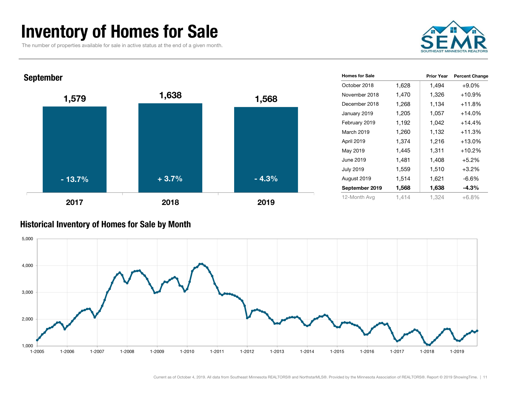### Inventory of Homes for Sale

The number of properties available for sale in active status at the end of a given month.



| <b>September</b> |         |         | <b>Homes for Sale</b> |       | <b>Prior Year</b> | <b>Percent Change</b> |
|------------------|---------|---------|-----------------------|-------|-------------------|-----------------------|
|                  |         |         | October 2018          | 1,628 | 1,494             | $+9.0\%$              |
| 1,579            | 1,638   | 1,568   | November 2018         | 1,470 | 1,326             | +10.9%                |
|                  |         |         | December 2018         | 1,268 | 1,134             | $+11.8%$              |
|                  |         |         | January 2019          | 1,205 | 1,057             | $+14.0%$              |
|                  |         |         | February 2019         | 1,192 | 1,042             | $+14.4%$              |
|                  |         |         | March 2019            | 1,260 | 1,132             | $+11.3%$              |
|                  |         |         | April 2019            | 1,374 | 1,216             | $+13.0%$              |
|                  |         |         | May 2019              | 1,445 | 1,311             | $+10.2%$              |
|                  |         |         | June 2019             | 1,481 | 1,408             | $+5.2%$               |
|                  |         |         | <b>July 2019</b>      | 1,559 | 1,510             | $+3.2%$               |
| $-13.7%$         | $+3.7%$ | $-4.3%$ | August 2019           | 1,514 | 1,621             | $-6.6%$               |
|                  |         |         | September 2019        | 1,568 | 1,638             | $-4.3%$               |
| 2017             | 2018    | 2019    | 12-Month Avg          | 1,414 | 1,324             | $+6.8%$               |

### Historical Inventory of Homes for Sale by Month

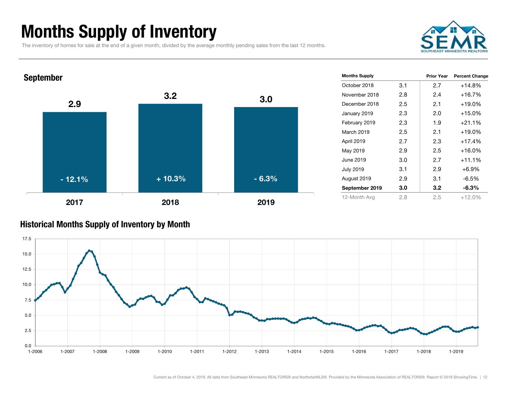# Months Supply of Inventory

The inventory of homes for sale at the end of a given month, divided by the average monthly pending sales from the last 12 months.





#### Historical Months Supply of Inventory by Month